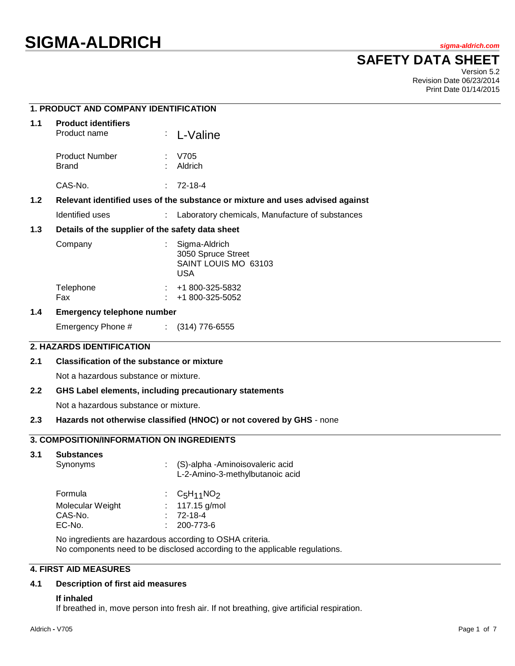# **SAFETY DATA SHEET**

Version 5.2 Revision Date 06/23/2014 Print Date 01/14/2015

## **1. PRODUCT AND COMPANY IDENTIFICATION**

| 1.1              | <b>Product identifiers</b>                                                    |    |                                                                           |  |
|------------------|-------------------------------------------------------------------------------|----|---------------------------------------------------------------------------|--|
|                  | Product name                                                                  |    | : L-Valine                                                                |  |
|                  | Product Number<br><b>Brand</b>                                                |    | V705<br>Aldrich                                                           |  |
|                  | CAS-No.                                                                       | ÷. | 72-18-4                                                                   |  |
| 1.2 <sub>1</sub> | Relevant identified uses of the substance or mixture and uses advised against |    |                                                                           |  |
|                  | Identified uses                                                               |    | Laboratory chemicals, Manufacture of substances                           |  |
| 1.3              | Details of the supplier of the safety data sheet                              |    |                                                                           |  |
|                  | Company                                                                       |    | Sigma-Aldrich<br>3050 Spruce Street<br>SAINT LOUIS MO 63103<br><b>USA</b> |  |
|                  | Telephone                                                                     |    | +1 800-325-5832                                                           |  |

# Fax : +1 800-325-5052

### **1.4 Emergency telephone number**

Emergency Phone # : (314) 776-6555

### **2. HAZARDS IDENTIFICATION**

### **2.1 Classification of the substance or mixture**

Not a hazardous substance or mixture.

#### **2.2 GHS Label elements, including precautionary statements**

Not a hazardous substance or mixture.

#### **2.3 Hazards not otherwise classified (HNOC) or not covered by GHS** - none

### **3. COMPOSITION/INFORMATION ON INGREDIENTS**

#### **3.1 Substances**

| Synonyms         | : (S)-alpha -Aminoisovaleric acid<br>L-2-Amino-3-methylbutanoic acid |
|------------------|----------------------------------------------------------------------|
| Formula          | : $C_5H_{11}NO_2$                                                    |
| Molecular Weight | : $117.15$ g/mol                                                     |
| CAS-No.          | $: 72-18-4$                                                          |
| EC-No.           | $: 200 - 773 - 6$                                                    |

No ingredients are hazardous according to OSHA criteria. No components need to be disclosed according to the applicable regulations.

### **4. FIRST AID MEASURES**

#### **4.1 Description of first aid measures**

#### **If inhaled**

If breathed in, move person into fresh air. If not breathing, give artificial respiration.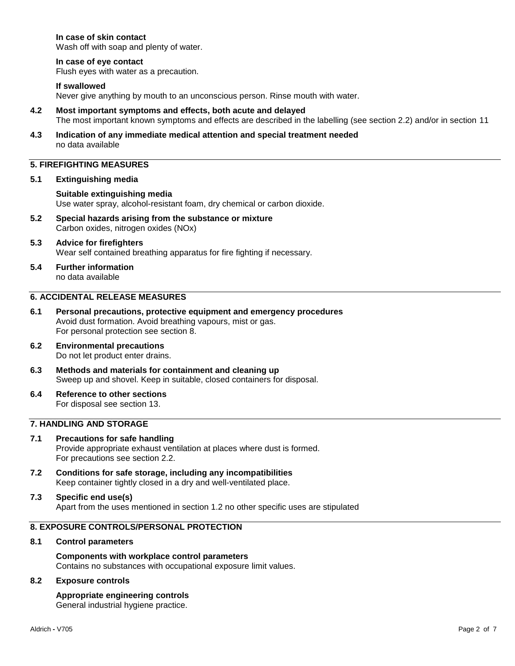### **In case of skin contact**

Wash off with soap and plenty of water.

#### **In case of eye contact**

Flush eyes with water as a precaution.

#### **If swallowed**

Never give anything by mouth to an unconscious person. Rinse mouth with water.

- **4.2 Most important symptoms and effects, both acute and delayed** The most important known symptoms and effects are described in the labelling (see section 2.2) and/or in section 11
- **4.3 Indication of any immediate medical attention and special treatment needed** no data available

### **5. FIREFIGHTING MEASURES**

#### **5.1 Extinguishing media**

**Suitable extinguishing media** Use water spray, alcohol-resistant foam, dry chemical or carbon dioxide.

**5.2 Special hazards arising from the substance or mixture** Carbon oxides, nitrogen oxides (NOx)

#### **5.3 Advice for firefighters** Wear self contained breathing apparatus for fire fighting if necessary.

**5.4 Further information** no data available

### **6. ACCIDENTAL RELEASE MEASURES**

- **6.1 Personal precautions, protective equipment and emergency procedures** Avoid dust formation. Avoid breathing vapours, mist or gas. For personal protection see section 8.
- **6.2 Environmental precautions** Do not let product enter drains.
- **6.3 Methods and materials for containment and cleaning up** Sweep up and shovel. Keep in suitable, closed containers for disposal.
- **6.4 Reference to other sections** For disposal see section 13.

### **7. HANDLING AND STORAGE**

- **7.1 Precautions for safe handling** Provide appropriate exhaust ventilation at places where dust is formed. For precautions see section 2.2.
- **7.2 Conditions for safe storage, including any incompatibilities** Keep container tightly closed in a dry and well-ventilated place.

#### **7.3 Specific end use(s)** Apart from the uses mentioned in section 1.2 no other specific uses are stipulated

### **8. EXPOSURE CONTROLS/PERSONAL PROTECTION**

#### **8.1 Control parameters**

**Components with workplace control parameters** Contains no substances with occupational exposure limit values.

#### **8.2 Exposure controls**

#### **Appropriate engineering controls** General industrial hygiene practice.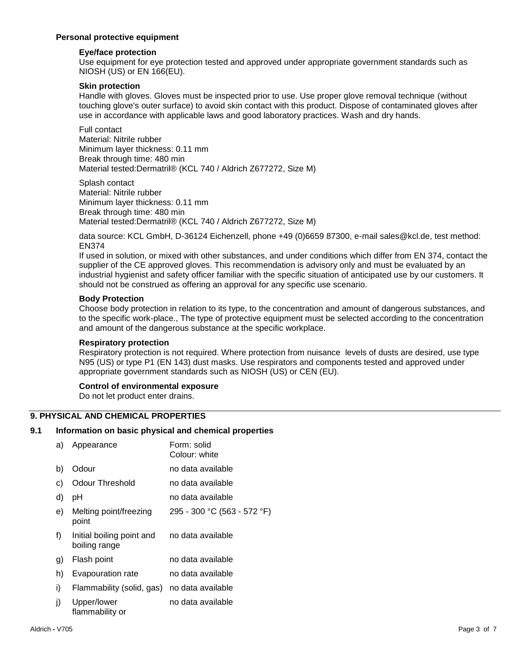### **Personal protective equipment**

### **Eye/face protection**

Use equipment for eye protection tested and approved under appropriate government standards such as NIOSH (US) or EN 166(EU).

### **Skin protection**

Handle with gloves. Gloves must be inspected prior to use. Use proper glove removal technique (without touching glove's outer surface) to avoid skin contact with this product. Dispose of contaminated gloves after use in accordance with applicable laws and good laboratory practices. Wash and dry hands.

Full contact Material: Nitrile rubber Minimum layer thickness: 0.11 mm Break through time: 480 min Material tested:Dermatril® (KCL 740 / Aldrich Z677272, Size M)

Splash contact Material: Nitrile rubber Minimum layer thickness: 0.11 mm Break through time: 480 min Material tested:Dermatril® (KCL 740 / Aldrich Z677272, Size M)

data source: KCL GmbH, D-36124 Eichenzell, phone +49 (0)6659 87300, e-mail sales@kcl.de, test method: EN374

If used in solution, or mixed with other substances, and under conditions which differ from EN 374, contact the supplier of the CE approved gloves. This recommendation is advisory only and must be evaluated by an industrial hygienist and safety officer familiar with the specific situation of anticipated use by our customers. It should not be construed as offering an approval for any specific use scenario.

### **Body Protection**

Choose body protection in relation to its type, to the concentration and amount of dangerous substances, and to the specific work-place., The type of protective equipment must be selected according to the concentration and amount of the dangerous substance at the specific workplace.

### **Respiratory protection**

Respiratory protection is not required. Where protection from nuisance levels of dusts are desired, use type N95 (US) or type P1 (EN 143) dust masks. Use respirators and components tested and approved under appropriate government standards such as NIOSH (US) or CEN (EU).

### **Control of environmental exposure**

Do not let product enter drains.

### **9. PHYSICAL AND CHEMICAL PROPERTIES**

### **9.1 Information on basic physical and chemical properties**

| a) | Appearance                                 | Form: solid<br>Colour: white |
|----|--------------------------------------------|------------------------------|
| b) | Odour                                      | no data available            |
| C) | Odour Threshold                            | no data available            |
| d) | рH                                         | no data available            |
| e) | Melting point/freezing<br>point            | 295 - 300 °C (563 - 572 °F)  |
| f) | Initial boiling point and<br>boiling range | no data available            |
| g) | Flash point                                | no data available            |
| h) | Evapouration rate                          | no data available            |
| i) | Flammability (solid, gas)                  | no data available            |
| j) | Upper/lower<br>flammability or             | no data available            |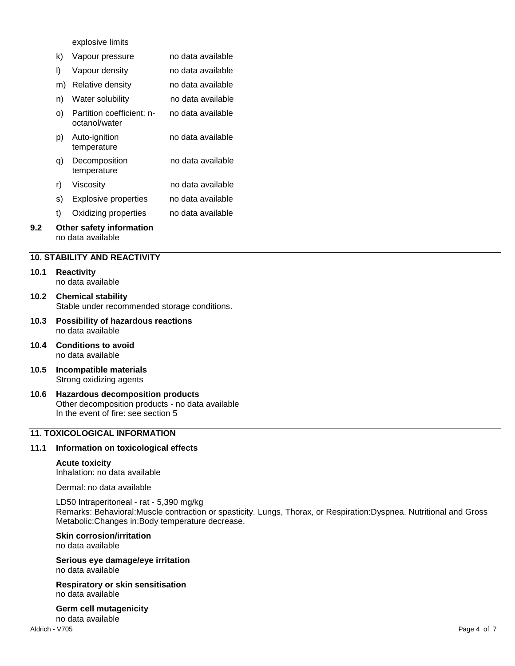explosive limits

|     | k) | Vapour pressure                               | no data available |
|-----|----|-----------------------------------------------|-------------------|
|     | I) | Vapour density                                | no data available |
|     | m) | Relative density                              | no data available |
|     | n) | Water solubility                              | no data available |
|     | O) | Partition coefficient: n-<br>octanol/water    | no data available |
|     | p) | Auto-ignition<br>temperature                  | no data available |
|     | q) | Decomposition<br>temperature                  | no data available |
|     | r) | Viscosity                                     | no data available |
|     | S) | <b>Explosive properties</b>                   | no data available |
|     | t) | Oxidizing properties                          | no data available |
| 9.2 |    | Other safety information<br>no data available |                   |
|     |    |                                               |                   |

### **10. STABILITY AND REACTIVITY**

#### **10.1 Reactivity** no data available

- **10.2 Chemical stability** Stable under recommended storage conditions.
- **10.3 Possibility of hazardous reactions** no data available
- **10.4 Conditions to avoid** no data available
- **10.5 Incompatible materials** Strong oxidizing agents
- **10.6 Hazardous decomposition products** Other decomposition products - no data available In the event of fire: see section 5

### **11. TOXICOLOGICAL INFORMATION**

### **11.1 Information on toxicological effects**

#### **Acute toxicity**

Inhalation: no data available

Dermal: no data available

LD50 Intraperitoneal - rat - 5,390 mg/kg Remarks: Behavioral:Muscle contraction or spasticity. Lungs, Thorax, or Respiration:Dyspnea. Nutritional and Gross Metabolic:Changes in:Body temperature decrease.

### **Skin corrosion/irritation**

no data available

**Serious eye damage/eye irritation** no data available

**Respiratory or skin sensitisation** no data available

**Germ cell mutagenicity** no data available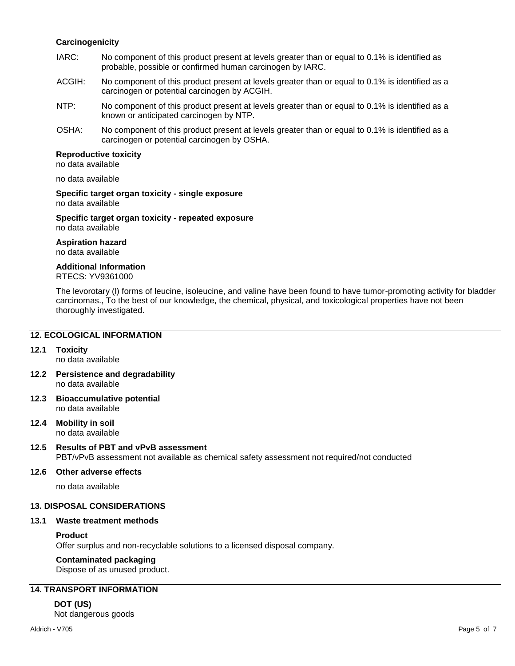### **Carcinogenicity**

- IARC: No component of this product present at levels greater than or equal to 0.1% is identified as probable, possible or confirmed human carcinogen by IARC.
- ACGIH: No component of this product present at levels greater than or equal to 0.1% is identified as a carcinogen or potential carcinogen by ACGIH.
- NTP: No component of this product present at levels greater than or equal to 0.1% is identified as a known or anticipated carcinogen by NTP.
- OSHA: No component of this product present at levels greater than or equal to 0.1% is identified as a carcinogen or potential carcinogen by OSHA.

### **Reproductive toxicity**

no data available

no data available

**Specific target organ toxicity - single exposure** no data available

**Specific target organ toxicity - repeated exposure** no data available

**Aspiration hazard**

no data available

### **Additional Information**

RTECS: YV9361000

The levorotary (l) forms of leucine, isoleucine, and valine have been found to have tumor-promoting activity for bladder carcinomas., To the best of our knowledge, the chemical, physical, and toxicological properties have not been thoroughly investigated.

### **12. ECOLOGICAL INFORMATION**

#### **12.1 Toxicity**

no data available

- **12.2 Persistence and degradability** no data available
- **12.3 Bioaccumulative potential** no data available
- **12.4 Mobility in soil** no data available

# **12.5 Results of PBT and vPvB assessment**

PBT/vPvB assessment not available as chemical safety assessment not required/not conducted

### **12.6 Other adverse effects**

no data available

### **13. DISPOSAL CONSIDERATIONS**

#### **13.1 Waste treatment methods**

#### **Product**

Offer surplus and non-recyclable solutions to a licensed disposal company.

### **Contaminated packaging**

Dispose of as unused product.

### **14. TRANSPORT INFORMATION**

**DOT (US)** Not dangerous goods